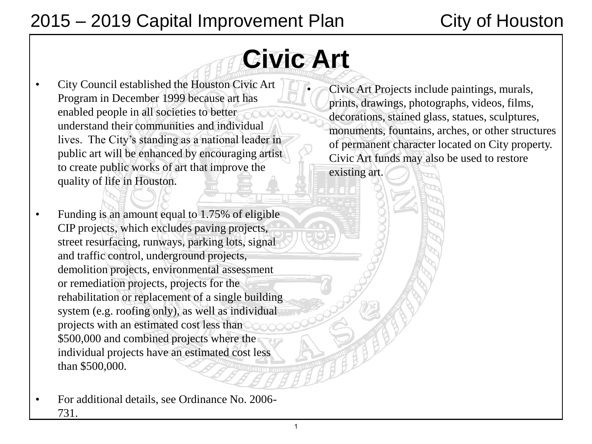# 2015 – 2019 Capital Improvement Plan City of Houston

# **Civic Art**

- City Council established the Houston Civic Art Program in December 1999 because art has enabled people in all societies to better understand their communities and individual lives. The City's standing as a national leader in public art will be enhanced by encouraging artist to create public works of art that improve the quality of life in Houston.
- Funding is an amount equal to 1.75% of eligible CIP projects, which excludes paving projects, street resurfacing, runways, parking lots, signal and traffic control, underground projects, demolition projects, environmental assessment or remediation projects, projects for the rehabilitation or replacement of a single building system (e.g. roofing only), as well as individual projects with an estimated cost less than \$500,000 and combined projects where the individual projects have an estimated cost less than \$500,000.
- For additional details, see Ordinance No. 2006- 731.

• Civic Art Projects include paintings, murals, prints, drawings, photographs, videos, films, decorations, stained glass, statues, sculptures, monuments, fountains, arches, or other structures of permanent character located on City property. Civic Art funds may also be used to restore existing art.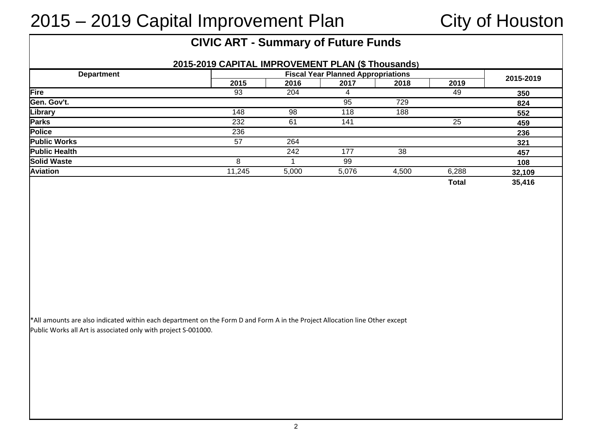# 2015 – 2019 Capital Improvement Plan City of Houston

### **CIVIC ART - Summary of Future Funds**

| <b>Department</b>    |        | <b>Fiscal Year Planned Appropriations</b> |       |       |       |           |
|----------------------|--------|-------------------------------------------|-------|-------|-------|-----------|
|                      | 2015   | 2016                                      | 2017  | 2018  | 2019  | 2015-2019 |
| Fire                 | 93     | 204                                       | 4     |       | 49    | 350       |
| Gen. Gov't.          |        |                                           | 95    | 729   |       | 824       |
| Library              | 148    | 98                                        | 118   | 188   |       | 552       |
| <b>Parks</b>         | 232    | 61                                        | 141   |       | 25    | 459       |
| Police               | 236    |                                           |       |       |       | 236       |
| <b>Public Works</b>  | 57     | 264                                       |       |       |       | 321       |
| <b>Public Health</b> |        | 242                                       | 177   | 38    |       | 457       |
| <b>Solid Waste</b>   | 8      |                                           | 99    |       |       | 108       |
| Aviation             | 11.245 | 5,000                                     | 5,076 | 4,500 | 6,288 | 32,109    |
|                      |        |                                           |       |       | Total | 35,416    |

\*All amounts are also indicated within each department on the Form D and Form A in the Project Allocation line Other except Public Works all Art is associated only with project S-001000.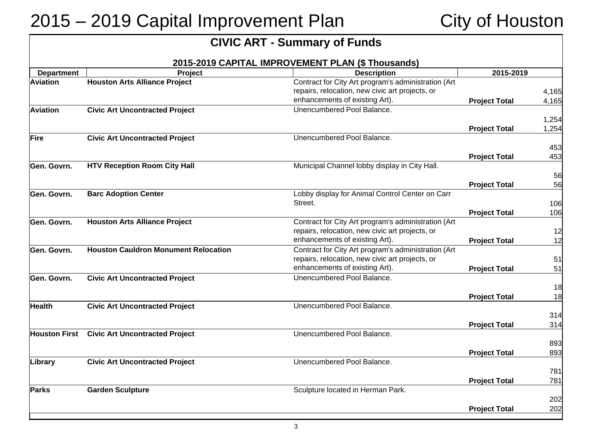# 2015 – 2019 Capital Improvement Plan City of Houston

|                      |                                             | <b>CIVIC ART - Summary of Funds</b>                                                                                                      |                      |                |
|----------------------|---------------------------------------------|------------------------------------------------------------------------------------------------------------------------------------------|----------------------|----------------|
|                      |                                             | 2015-2019 CAPITAL IMPROVEMENT PLAN (\$ Thousands)                                                                                        |                      |                |
| <b>Department</b>    | <b>Project</b>                              | <b>Description</b>                                                                                                                       | 2015-2019            |                |
| <b>Aviation</b>      | <b>Houston Arts Alliance Project</b>        | Contract for City Art program's administration (Art<br>repairs, relocation, new civic art projects, or<br>enhancements of existing Art). | <b>Project Total</b> | 4,165<br>4,165 |
| <b>Aviation</b>      | <b>Civic Art Uncontracted Project</b>       | Unencumbered Pool Balance.                                                                                                               |                      |                |
|                      |                                             |                                                                                                                                          | <b>Project Total</b> | 1,254<br>1,254 |
| Fire                 | <b>Civic Art Uncontracted Project</b>       | Unencumbered Pool Balance.                                                                                                               |                      |                |
|                      |                                             |                                                                                                                                          |                      | 453            |
|                      |                                             |                                                                                                                                          | <b>Project Total</b> | 453            |
| Gen. Govrn.          | <b>HTV Reception Room City Hall</b>         | Municipal Channel lobby display in City Hall.                                                                                            |                      |                |
|                      |                                             |                                                                                                                                          |                      | 56             |
| Gen. Govrn.          | <b>Barc Adoption Center</b>                 | Lobby display for Animal Control Center on Carr                                                                                          | <b>Project Total</b> | 56             |
|                      |                                             | Street.                                                                                                                                  |                      | 106            |
|                      |                                             |                                                                                                                                          | <b>Project Total</b> | 106            |
| Gen. Govrn.          | <b>Houston Arts Alliance Project</b>        | Contract for City Art program's administration (Art                                                                                      |                      |                |
|                      |                                             | repairs, relocation, new civic art projects, or                                                                                          |                      | 12             |
|                      |                                             | enhancements of existing Art).                                                                                                           | <b>Project Total</b> | 12             |
| Gen. Govrn.          | <b>Houston Cauldron Monument Relocation</b> | Contract for City Art program's administration (Art                                                                                      |                      |                |
|                      |                                             | repairs, relocation, new civic art projects, or                                                                                          |                      | 51             |
|                      |                                             | enhancements of existing Art).                                                                                                           | <b>Project Total</b> | 51             |
| <b>Gen. Govrn.</b>   | <b>Civic Art Uncontracted Project</b>       | Unencumbered Pool Balance.                                                                                                               |                      |                |
|                      |                                             |                                                                                                                                          | <b>Project Total</b> | 18<br>18       |
| <b>Health</b>        | <b>Civic Art Uncontracted Project</b>       | Unencumbered Pool Balance.                                                                                                               |                      |                |
|                      |                                             |                                                                                                                                          |                      | 314            |
|                      |                                             |                                                                                                                                          | <b>Project Total</b> | 314            |
| <b>Houston First</b> | <b>Civic Art Uncontracted Project</b>       | Unencumbered Pool Balance.                                                                                                               |                      |                |
|                      |                                             |                                                                                                                                          |                      | 893            |
|                      |                                             |                                                                                                                                          | <b>Project Total</b> | 893            |
| Library              | <b>Civic Art Uncontracted Project</b>       | Unencumbered Pool Balance.                                                                                                               |                      |                |
|                      |                                             |                                                                                                                                          |                      | 781            |
|                      |                                             |                                                                                                                                          | <b>Project Total</b> | 781            |
| <b>Parks</b>         | <b>Garden Sculpture</b>                     | Sculpture located in Herman Park.                                                                                                        |                      | 202            |
|                      |                                             |                                                                                                                                          | <b>Project Total</b> | 202            |
|                      |                                             |                                                                                                                                          |                      |                |